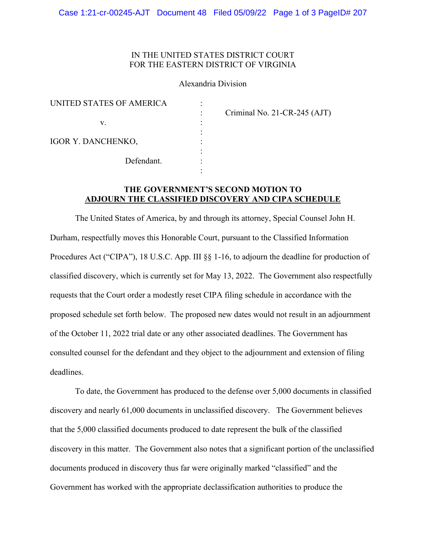## IN THE UNITED STATES DISTRICT COURT FOR THE EASTERN DISTRICT OF VIRGINIA

### Alexandria Division

| UNITED STATES OF AMERICA |  |
|--------------------------|--|
|                          |  |
| V.                       |  |
|                          |  |
| IGOR Y. DANCHENKO,       |  |
|                          |  |
| Defendant.               |  |
|                          |  |

: Criminal No. 21-CR-245 (AJT)

# **THE GOVERNMENT'S SECOND MOTION TO ADJOURN THE CLASSIFIED DISCOVERY AND CIPA SCHEDULE**

The United States of America, by and through its attorney, Special Counsel John H. Durham, respectfully moves this Honorable Court, pursuant to the Classified Information Procedures Act ("CIPA"), 18 U.S.C. App. III  $\S$  1-16, to adjourn the deadline for production of classified discovery, which is currently set for May 13, 2022. The Government also respectfully requests that the Court order a modestly reset CIPA filing schedule in accordance with the proposed schedule set forth below. The proposed new dates would not result in an adjournment of the October 11, 2022 trial date or any other associated deadlines. The Government has consulted counsel for the defendant and they object to the adjournment and extension of filing deadlines.

To date, the Government has produced to the defense over 5,000 documents in classified discovery and nearly 61,000 documents in unclassified discovery. The Government believes that the 5,000 classified documents produced to date represent the bulk of the classified discovery in this matter. The Government also notes that a significant portion of the unclassified documents produced in discovery thus far were originally marked "classified" and the Government has worked with the appropriate declassification authorities to produce the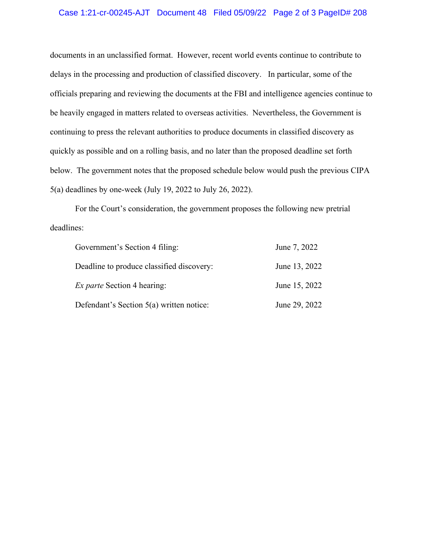## Case 1:21-cr-00245-AJT Document 48 Filed 05/09/22 Page 2 of 3 PageID# 208

documents in an unclassified format. However, recent world events continue to contribute to delays in the processing and production of classified discovery. In particular, some of the officials preparing and reviewing the documents at the FBI and intelligence agencies continue to be heavily engaged in matters related to overseas activities. Nevertheless, the Government is continuing to press the relevant authorities to produce documents in classified discovery as quickly as possible and on a rolling basis, and no later than the proposed deadline set forth below. The government notes that the proposed schedule below would push the previous CIPA 5(a) deadlines by one-week (July 19, 2022 to July 26, 2022).

For the Court's consideration, the government proposes the following new pretrial deadlines:

| Government's Section 4 filing:             | June 7, 2022  |
|--------------------------------------------|---------------|
| Deadline to produce classified discovery:  | June 13, 2022 |
| <i>Ex parte</i> Section 4 hearing:         | June 15, 2022 |
| Defendant's Section $5(a)$ written notice: | June 29, 2022 |